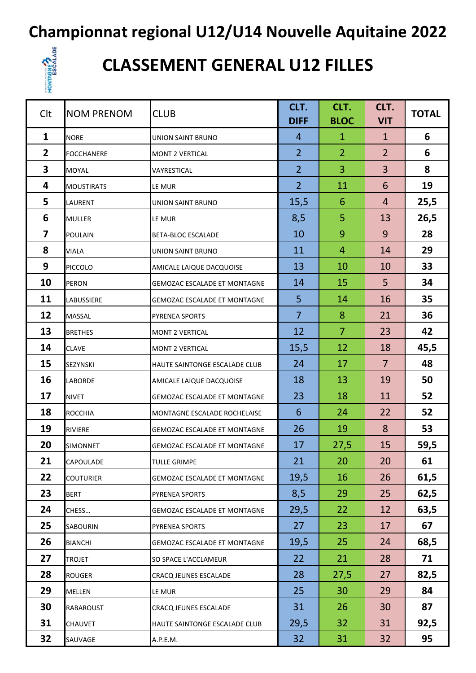# **Championnat regional U12/U14 Nouvelle Aquitaine 2022**<br>CLASSEMENT GENERAL U12 FILLES



### **CLASSEMENT GENERAL U12 FILLES**

| Clt                     | <b>NOM PRENOM</b> | <b>CLUB</b>                         | CLT.<br><b>DIFF</b> | CLT.<br><b>BLOC</b> | CLT.<br><b>VIT</b> | <b>TOTAL</b> |
|-------------------------|-------------------|-------------------------------------|---------------------|---------------------|--------------------|--------------|
| $\mathbf{1}$            | <b>NORE</b>       | UNION SAINT BRUNO                   | 4                   | $\mathbf{1}$        | $\mathbf{1}$       | 6            |
| $\overline{2}$          | <b>FOCCHANERE</b> | <b>MONT 2 VERTICAL</b>              | $\overline{2}$      | $\overline{2}$      | $\overline{2}$     | 6            |
| 3                       | <b>MOYAL</b>      | VAYRESTICAL                         | $\overline{2}$      | 3                   | 3                  | 8            |
| 4                       | <b>MOUSTIRATS</b> | LE MUR                              | $\overline{2}$      | 11                  | 6                  | 19           |
| 5                       | <b>LAURENT</b>    | UNION SAINT BRUNO                   | 15,5                | 6                   | 4                  | 25,5         |
| 6                       | <b>MULLER</b>     | LE MUR                              | 8,5                 | 5                   | 13                 | 26,5         |
| $\overline{\mathbf{z}}$ | <b>POULAIN</b>    | <b>BETA-BLOC ESCALADE</b>           | 10                  | 9                   | 9                  | 28           |
| 8                       | <b>VIALA</b>      | <b>UNION SAINT BRUNO</b>            | 11                  | 4                   | 14                 | 29           |
| 9                       | <b>PICCOLO</b>    | AMICALE LAIQUE DACQUOISE            | 13                  | 10                  | 10                 | 33           |
| 10                      | <b>PERON</b>      | <b>GEMOZAC ESCALADE ET MONTAGNE</b> | 14                  | 15                  | 5                  | 34           |
| 11                      | <b>LABUSSIERE</b> | <b>GEMOZAC ESCALADE ET MONTAGNE</b> | 5                   | 14                  | 16                 | 35           |
| 12                      | <b>MASSAL</b>     | PYRENEA SPORTS                      | $\overline{7}$      | 8                   | 21                 | 36           |
| 13                      | <b>BRETHES</b>    | <b>MONT 2 VERTICAL</b>              | 12                  | $\overline{7}$      | 23                 | 42           |
| 14                      | <b>CLAVE</b>      | <b>MONT 2 VERTICAL</b>              | 15,5                | 12                  | 18                 | 45,5         |
| 15                      | SEZYNSKI          | HAUTE SAINTONGE ESCALADE CLUB       | 24                  | 17                  | $\overline{7}$     | 48           |
| 16                      | <b>LABORDE</b>    | AMICALE LAIQUE DACQUOISE            | 18                  | 13                  | 19                 | 50           |
| 17                      | <b>NIVET</b>      | <b>GEMOZAC ESCALADE ET MONTAGNE</b> | 23                  | 18                  | 11                 | 52           |
| 18                      | <b>ROCCHIA</b>    | MONTAGNE ESCALADE ROCHELAISE        | 6                   | 24                  | 22                 | 52           |
| 19                      | <b>RIVIERE</b>    | <b>GEMOZAC ESCALADE ET MONTAGNE</b> | 26                  | 19                  | 8                  | 53           |
| 20                      | <b>SIMONNET</b>   | <b>GEMOZAC ESCALADE ET MONTAGNE</b> | 17                  | 27,5                | 15                 | 59,5         |
| 21                      | CAPOULADE         | <b>TULLE GRIMPE</b>                 | 21                  | 20                  | 20                 | 61           |
| 22                      | <b>COUTURIER</b>  | GEMOZAC ESCALADE ET MONTAGNE        | 19,5                | 16                  | 26                 | 61,5         |
| 23                      | <b>BERT</b>       | PYRENEA SPORTS                      | 8,5                 | 29                  | 25                 | 62,5         |
| 24                      | CHESS             | GEMOZAC ESCALADE ET MONTAGNE        | 29,5                | 22                  | 12                 | 63,5         |
| 25                      | SABOURIN          | PYRENEA SPORTS                      | 27                  | 23                  | 17                 | 67           |
| 26                      | <b>BIANCHI</b>    | <b>GEMOZAC ESCALADE ET MONTAGNE</b> | 19,5                | 25                  | 24                 | 68,5         |
| 27                      | <b>TROJET</b>     | SO SPACE L'ACCLAMEUR                | 22                  | 21                  | 28                 | 71           |
| 28                      | <b>ROUGER</b>     | CRACQ JEUNES ESCALADE               | 28                  | 27,5                | 27                 | 82,5         |
| 29                      | <b>MELLEN</b>     | LE MUR                              | 25                  | 30                  | 29                 | 84           |
| 30                      | <b>RABAROUST</b>  | CRACQ JEUNES ESCALADE               | 31                  | 26                  | 30                 | 87           |
| 31                      | <b>CHAUVET</b>    | HAUTE SAINTONGE ESCALADE CLUB       | 29,5                | 32                  | 31                 | 92,5         |
| 32                      | SAUVAGE           | A.P.E.M.                            | 32                  | 31                  | 32                 | 95           |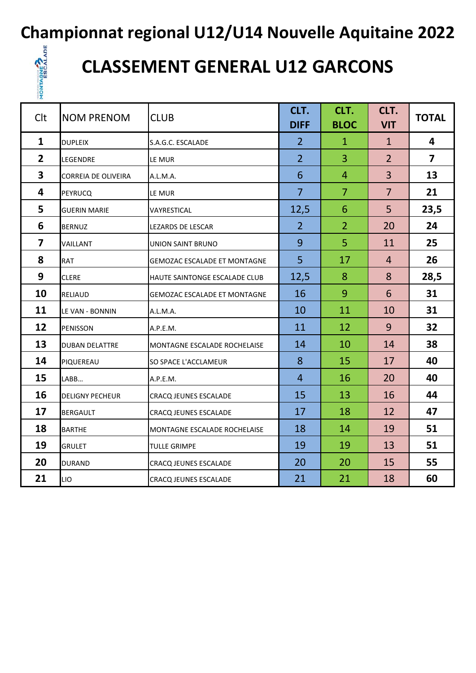#### **Championnat regional U12/U14 Nouvelle Aquitaine 2022**



## **CLASSEMENT GENERAL U12 GARCONS**

| Clt                     | <b>NOM PRENOM</b>          | <b>CLUB</b>                         | CLT.<br><b>DIFF</b> | CLT.<br><b>BLOC</b> | CLT.<br><b>VIT</b> | <b>TOTAL</b>            |
|-------------------------|----------------------------|-------------------------------------|---------------------|---------------------|--------------------|-------------------------|
| $\mathbf{1}$            | <b>DUPLEIX</b>             | S.A.G.C. ESCALADE                   | $\overline{2}$      | $\mathbf{1}$        | $\mathbf{1}$       | 4                       |
| $\overline{2}$          | <b>LEGENDRE</b>            | LE MUR                              | $\overline{2}$      | 3                   | $\overline{2}$     | $\overline{\mathbf{z}}$ |
| $\overline{\mathbf{3}}$ | <b>CORREIA DE OLIVEIRA</b> | A.L.M.A.                            | 6                   | $\overline{4}$      | 3                  | 13                      |
| 4                       | <b>PEYRUCQ</b>             | LE MUR                              | $\overline{7}$      | $\overline{7}$      | $\overline{7}$     | 21                      |
| 5                       | <b>GUERIN MARIE</b>        | VAYRESTICAL                         | 12,5                | 6                   | 5                  | 23,5                    |
| 6                       | <b>BERNUZ</b>              | LEZARDS DE LESCAR                   | $\overline{2}$      | $\overline{2}$      | 20                 | 24                      |
| $\overline{\mathbf{z}}$ | VAILLANT                   | <b>UNION SAINT BRUNO</b>            | 9                   | 5                   | 11                 | 25                      |
| 8                       | <b>RAT</b>                 | <b>GEMOZAC ESCALADE ET MONTAGNE</b> | 5                   | 17                  | $\overline{4}$     | 26                      |
| 9                       | <b>CLERE</b>               | HAUTE SAINTONGE ESCALADE CLUB       | 12,5                | 8                   | 8                  | 28,5                    |
| 10                      | <b>RELIAUD</b>             | <b>GEMOZAC ESCALADE ET MONTAGNE</b> | 16                  | 9                   | 6                  | 31                      |
| 11                      | LE VAN - BONNIN            | A.L.M.A.                            | 10                  | 11                  | 10                 | 31                      |
| 12                      | <b>PENISSON</b>            | A.P.E.M.                            | 11                  | 12                  | 9                  | 32                      |
| 13                      | <b>DUBAN DELATTRE</b>      | MONTAGNE ESCALADE ROCHELAISE        | 14                  | 10                  | 14                 | 38                      |
| 14                      | PIQUEREAU                  | SO SPACE L'ACCLAMEUR                | 8                   | 15                  | 17                 | 40                      |
| 15                      | LABB                       | A.P.E.M.                            | $\overline{4}$      | 16                  | 20                 | 40                      |
| 16                      | <b>DELIGNY PECHEUR</b>     | <b>CRACQ JEUNES ESCALADE</b>        | 15                  | 13                  | 16                 | 44                      |
| 17                      | <b>BERGAULT</b>            | <b>CRACQ JEUNES ESCALADE</b>        | 17                  | 18                  | 12                 | 47                      |
| 18                      | <b>BARTHE</b>              | MONTAGNE ESCALADE ROCHELAISE        | 18                  | 14                  | 19                 | 51                      |
| 19                      | <b>GRULET</b>              | <b>TULLE GRIMPE</b>                 | 19                  | 19                  | 13                 | 51                      |
| 20                      | <b>DURAND</b>              | <b>CRACQ JEUNES ESCALADE</b>        | 20                  | 20                  | 15                 | 55                      |
| 21                      | LIO                        | CRACQ JEUNES ESCALADE               | 21                  | 21                  | 18                 | 60                      |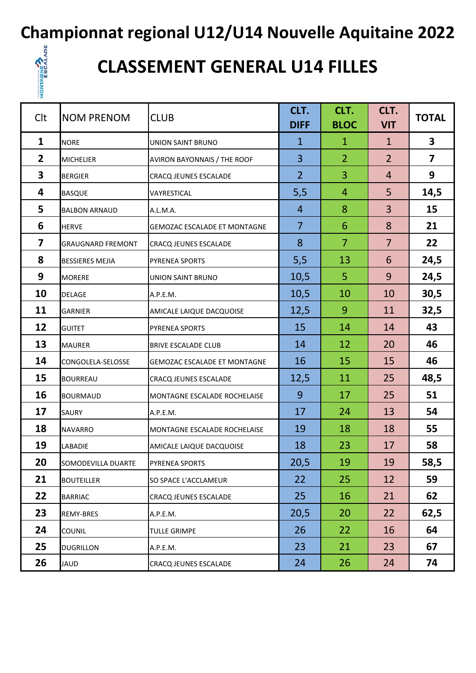**Championnat regional U12/U14 Nouvelle Aquitaine 2022**



## **CLASSEMENT GENERAL U14 FILLES**

| Clt | <b>NOM PRENOM</b>        | <b>CLUB</b>                         | CLT.<br><b>DIFF</b> | CLT.<br><b>BLOC</b> | CLT.<br><b>VIT</b> | <b>TOTAL</b>            |
|-----|--------------------------|-------------------------------------|---------------------|---------------------|--------------------|-------------------------|
| 1   | <b>NORE</b>              | <b>UNION SAINT BRUNO</b>            | $\mathbf 1$         | $\mathbf{1}$        | $\mathbf{1}$       | 3                       |
| 2   | <b>MICHELIER</b>         | AVIRON BAYONNAIS / THE ROOF         | 3                   | $\overline{2}$      | $\overline{2}$     | $\overline{\mathbf{z}}$ |
| 3   | <b>BERGIER</b>           | CRACQ JEUNES ESCALADE               | $\overline{2}$      | 3                   | $\overline{4}$     | 9                       |
| 4   | <b>BASQUE</b>            | VAYRESTICAL                         | 5,5                 | $\overline{4}$      | 5                  | 14,5                    |
| 5   | <b>BALBON ARNAUD</b>     | A.L.M.A.                            | $\overline{4}$      | 8                   | 3                  | 15                      |
| 6   | <b>HERVE</b>             | GEMOZAC ESCALADE ET MONTAGNE        | $\overline{7}$      | 6                   | 8                  | 21                      |
| 7   | <b>GRAUGNARD FREMONT</b> | CRACQ JEUNES ESCALADE               | 8                   | $\overline{7}$      | $\overline{7}$     | 22                      |
| 8   | <b>BESSIERES MEJIA</b>   | PYRENEA SPORTS                      | 5,5                 | 13                  | 6                  | 24,5                    |
| 9   | <b>MORERE</b>            | UNION SAINT BRUNO                   | 10,5                | 5 <sup>1</sup>      | 9                  | 24,5                    |
| 10  | <b>DELAGE</b>            | A.P.E.M.                            | 10,5                | 10                  | 10                 | 30,5                    |
| 11  | <b>GARNIER</b>           | AMICALE LAIQUE DACQUOISE            | 12,5                | 9                   | 11                 | 32,5                    |
| 12  | <b>GUITET</b>            | <b>PYRENEA SPORTS</b>               | 15                  | 14                  | 14                 | 43                      |
| 13  | <b>MAURER</b>            | <b>BRIVE ESCALADE CLUB</b>          | 14                  | 12                  | 20                 | 46                      |
| 14  | CONGOLELA-SELOSSE        | <b>GEMOZAC ESCALADE ET MONTAGNE</b> | 16                  | 15                  | 15                 | 46                      |
| 15  | <b>BOURREAU</b>          | CRACQ JEUNES ESCALADE               | 12,5                | 11                  | 25                 | 48,5                    |
| 16  | <b>BOURMAUD</b>          | MONTAGNE ESCALADE ROCHELAISE        | 9                   | 17                  | 25                 | 51                      |
| 17  | <b>SAURY</b>             | A.P.E.M.                            | 17                  | 24                  | 13                 | 54                      |
| 18  | <b>NAVARRO</b>           | MONTAGNE ESCALADE ROCHELAISE        | 19                  | 18                  | 18                 | 55                      |
| 19  | LABADIE                  | AMICALE LAIQUE DACQUOISE            | 18                  | 23                  | 17                 | 58                      |
| 20  | SOMODEVILLA DUARTE       | PYRENEA SPORTS                      | 20,5                | 19                  | 19                 | 58,5                    |
| 21  | <b>BOUTEILLER</b>        | SO SPACE L'ACCLAMEUR                | 22                  | 25                  | 12                 | 59                      |
| 22  | <b>BARRIAC</b>           | CRACQ JEUNES ESCALADE               | 25                  | 16                  | 21                 | 62                      |
| 23  | REMY-BRES                | A.P.E.M.                            | 20,5                | 20                  | 22                 | 62,5                    |
| 24  | <b>COUNIL</b>            | <b>TULLE GRIMPE</b>                 | 26                  | 22                  | 16                 | 64                      |
| 25  | <b>DUGRILLON</b>         | A.P.E.M.                            | 23                  | 21                  | 23                 | 67                      |
| 26  | JAUD                     | CRACQ JEUNES ESCALADE               | 24                  | 26                  | 24                 | 74                      |